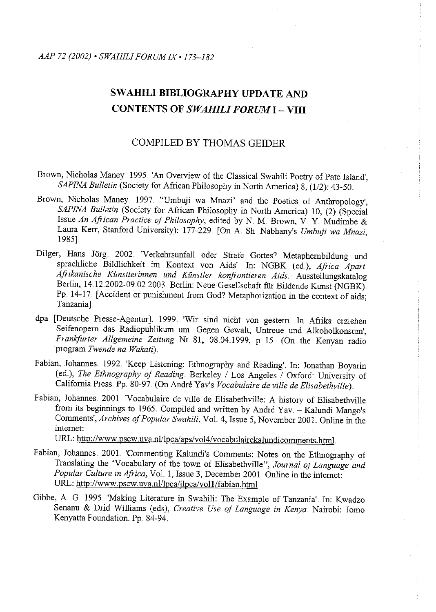# **SWAHILI BIBLIOGRAPHY UPDATE AND CONTENTS OF** *SWAHILI FORUM* **I- VIII**

# COMPILED BY THOMAS GEIDER

Brown, Nicholas Maney 1995. 'An Overview of the Classical Swahili Poetry of Pate Island', *SAPINA Bulletin* (Society for African Philosophy in North America) 8, (1/2): 43-50.

- Brown, Nicholas Maney. 1997. "Umbuji wa Mnazi' and the Poetics of Anthropology', *SAPINA Bulletin* (Society for African Philosophy in North America) 10, (2) (Special Issue *An African Practice of Philosophy,* edited by N. M. Brown, V. Y. Mudimbe & Laura Kerr, Stanford University): 177-229. [On A. Sh. Nabhany's *Umbuji wa Mnazi*, 1985].
- Dilger, Hans Jörg. 2002. 'Verkehrsunfall oder Strafe Gottes? Metaphernbildung und sprachliche Bildlichkeit im Kontext von Aids' In: NGBK (ed..), *Africa Apart Afrikanische Kiinstlerinnen und Kunstler konfrontieren Aids..* Ausstellungskatalog Berlin, 14.12.2002-09.02.2003. Berlin: Neue Gesellschaft für Bildende Kunst (NGBK). Pp 14-17 [Accident or punishment from God? Metaphorization in the context of aids; Tanzania]
- dpa [Deutsche Presse-Agentur]. 1999. 'Wir sind nicht von gestern. In Afrika erziehen Seifenopem das Radiopublikum um Gegen Gewalt, Untreue und Alkoholkonsum', *Frankfurter Allgemeine Zeitung Nr 81*, 08.04.1999, p 15 (On the Kenyan radio program *Twende na Wakati).*
- Fabian, Johannes. 1992. 'Keep Listening: Ethnography and Reading'. In: Jonathan Boyarin (ed.), *The Ethnography of Reading.* Berkeley I Los Angeles I Oxford: University of California Press. Pp. 80-97 .(On André Yav's *Vocabulaire de ville de Elisabethville*).
- Fabian, Johannes. 2001. 'Vocabulaire de ville de Elisabethville: A history of Elisabethville from its beginnings to 1965. Compiled and written by André Yav. - Kalundi Mango's Comments', Archives of Popular Swahili, Vol. 4, Issue 5, November 2001. Online in the intemet:

URL: http://www.pscw.uva.nl/lpca/aps/vol4/vocabulairekalundicomments.html.

- Fabian, Johannes. 200L 'Commenting Kalundi's Comments: Notes on the Ethnography of Translating the 'Vocabulary of the town of Elisabethville", *Journal of Language and Popular Culture in Africa,* VoL 1, Issue 3, December 200L Online in the intemet: URL: http://www.pscw.uva.nl/lpca/jlpca/vol1/fabian.html.
- Gibbe, A. G. 1995. 'Making Literature in Swahili: The Example of Tanzania'. In: Kwadzo Senanu & Drid Williams (eds), *Creative Use of Language in Kenya* Nairobi: Jomo Kenyatta Foundation. Pp. 84-94.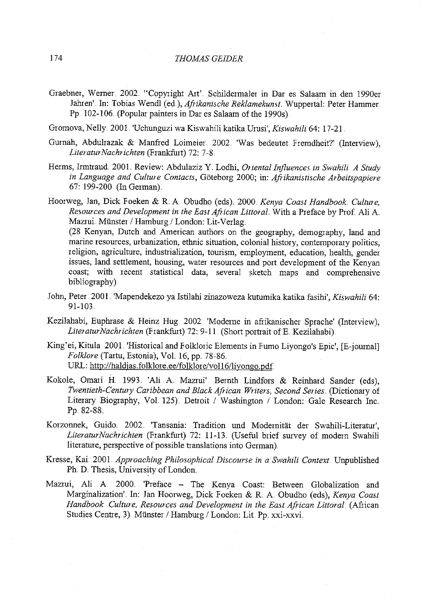- Graebner, Werner. 2002 "Copyright Art' Schildermaler in Dar es Salaam in den 1990er Jahren' In: Tobias Wendl (ed.), *Afrikanische Reklamekunst*. Wuppertal: Peter Hammer. Pp 102-106. (Popular painters in Dar es Salaam of the 1990s).
- Gromova, Nelly.. 200L 'Uchunguzi wa Kiswahili katika Umsi', *Kiswahili* 64: 17-21
- Gurnah, Abdulrazak & Manfred Loimeier 2002. 'Was bedeutet Fremdheit?' (Interview), *LiteraturNachrichten* (Frankfurt) 72: 7-8.
- Herms, Irmtraud. 2001. Review: Abdulaziz Y. Lodhi, *Oriental Influences in Swahili A Study in Language and Culture Contacts,* Goteborg 2000; in: *Afrikanistische Arbeitspapiere*  67: 199-200 (In German).

Hoorweg, Jan, Dick Foeken & R. A. Obudho (eds). 2000. *Kenya Coast Handbook. Culture, Resources and Development in the East African Littoral.* With a Preface by Prof. Ali A. Mazrui. Münster / Hamburg / London: Lit-Verlag. (28 Kenyan, Dutch and American authors on the geography, demography, land and marine resources, urbanization, ethnic situation, colonial history, contemporary politics, religion, agriculture, industrialization, tourism, employment, education, health, gender issues, land settlement, housing, water resources and port development of the Kenyan coast; with recent statistical data, several sketch maps and comprehensive bibliography)

- John, Peter 200L 'Mapendekezo ya Istilahi zinazoweza kutumika katika fasihi', *Kiswahili* 64: 91-103.
- Kezilahabi, Euphrase & Heinz Hug 2002 'Modeme in afiikanischer Sprache' (Interview), *LiteraturNachrichten* (Frankfurt) 72: 9-11 (Short portrait of E. Kezilahabi)
- King'ei, Kitula. 200L 'Historical and Folkloric Elements in Fumo Liyongo's Epic', [E-journal] *Folklore* (Tartu, Estonia), VoL 16, pp. 78-86 .. URL: http://haldjas.folklore.ee/folklore/vol16/liyongo.pdf.
- Kokole, Omari H 1993. 'Ali A Mazrui' Bernth Lindfors & Reinhard Sander (eds), *Twentieth-Century Caribbean and Black African Writen, Second Series ..* (Dictionary of Literary Biography, Vol. 125). Detroit / Washington / London: Gale Research Inc. Pp. 82-88.
- Korzonnek, Guido 2002. 'Tansania: Tradition und Modernität der Swahili-Literatur', *LiteraturNachrichten* (Frankfurt) 72: 11-13.. (Useful brief survey of modem Swahili literature, perspective of possible translations into German}.
- Kresse, Kai. 2001. Approaching Philosophical Discourse in a Swahili Context. Unpublished Ph. D. Thesis, University of London.
- Mazrui, Ali A 2000. 'Preface The Kenya Coast: Between Globalization and Marginalization'. In: Jan Hoorweg, Dick Foeken & R. A. Obudho (eds), *Kenya Coast Handbook Culture, Resources and Development in the East African Littoral* (African Studies Centre, 3) Münster / Hamburg / London: Lit Pp. xxi-xxvi.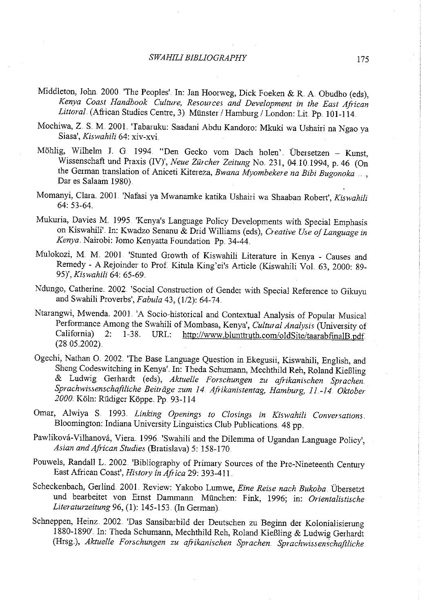#### *SWAHILI BIBLIOGRAPHY* 175

- Middleton, John. 2000 'The Peoples'. In: Jan Hoorweg, Dick Foeken & R. A Obudho (eds), *Kenya Coast Handbook Culture, Resources and Development* in *the East African Littoral.* (African Studies Centre, 3). Münster / Hamburg / London: Lit. Pp. 101-114.
- Mochiwa, Z S. M. 200L 'Tabaruku: Saadani Abdu Kandoro: Mkuki wa Ushairi na Ngao ya Siasa', *Kiswahili* 64: xiv-xvi.
- Mohlig, Wilhelm L G 1994. "Den Gecko vom Dach holen'. Obersetzen Kunst, Wissenschaft und Praxis (IV)', *Neue Zürcher Zeitung No.* 231, 04.10.1994, p. 46 (On the German translation of Aniceti Kitereza, *Bwana Myombekere na Bibi Bugonoka* . Dar es Salaam 1980).
- Momanyi, Clam. 2001. 'Nafasi ya Mwanamke katika Ushairi wa Shaaban Robert', *Ki:Swahili*  64: 53-64.
- Mukuria, Davies M. 1995 'Kenya's Language Policy Developments with Special Emphasis on Kiswahili'. In: Kwadzo Senanu & Drid Williams (eds), *Creative Use of Language in*  Kenya. Nairobi: Jomo Kenyatta Foundation Pp. 34-44.
- Mulokozi, M. M. 2001 'Stunted Growth of Kiswahili Literature in Kenya Causes and Remedy- A Rejoinder to Prof. Kitula King'ei's Article (Kiswahili VoL 63, 2000: 89- 95)', *Kiswahili* 64: 65-69.
- Ndungo, Catherine. 2002. 'Social Construction of Gender with Special Reference to Gikuyu and Swahili Proverbs', *Fabula* 43, (1/2): 64-74.
- Ntarangwi, Mwenda. 2001. 'A Socio-historical and Contextual Analysis of Popular Musical Performance Among the Swahili of Mombasa, Kenya', *Cultural Analysis* (University of http://www.blunttruth.com/oldSite/taarabfinalB.pdf.  $(28.05.2002)$ .
- Ogechi, Nathan O. 2002. 'The Base Language Question in Ekegusii, Kiswahili, English, and Sheng Codeswitching in Kenya'. In: Theda Schumann, Mechthild Reh, Roland Kießling & Ludwig Gerhardt (eds), *Aktuelle For:schungen zu afrikanischen Sprachen Sprachwissenschaftliche Beitriige zum 14. Afrikanistentag, Hamburg, <sup>11</sup>.. -14. Oktober*  2000. Köln: Rüdiger Köppe. Pp. 93-114.
- Omar, Alwiya S. 1993. *Linking Openings to Closings in Kiswahili Conversations.* Bloomington: Indiana University Linguistics Club Publications. 48 pp.
- Pawliková-Vilhanová, Viera. 1996. 'Swahili and the Dilemma of Ugandan Language Policy', *Asian and African Studies* (Bratislava) 5: 158-170.
- Pouwels, Randall L. 2002. 'Bibliography of Primary Sources of the Pre-Nineteenth Century East African Coast', *History in Africa* 29: 393-41 L
- Scheckenbach, Gerlind 2001. Review: Yakobo Lumwe, *Eine Reise nach Bukoba*. Übersetzt und bearbeitet von Ernst Dammann. München: Fink, 1996; in: Orientalistische *Literaturzeitung* 96, (1): 145-153. (In German).
- Schneppen, Heinz. 2002.. 'Das Sansibarbild der Deutschen zu Beginn der Kolonialisierung 1880-1890' In: Theda Schumann, Mechthild Reh, Roland Kießling & Ludwig Gerhardt (Hrsg.), *Aktuelle Forschungen zu afrikanischen Sprachen. Sprachwissenschaftliche*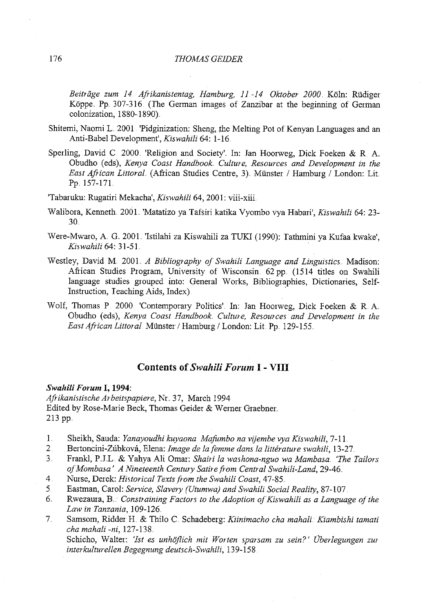Beiträge zum 14 Afrikanistentag, Hamburg, 11-14 Oktober 2000 Köln: Rüdiger Köppe. Pp. 307-316. (The German images of Zanzibar at the beginning of German colonization, 1880-1890).

- Shitemi, Naomi L. 2001. 'Pidginization: Sheng, the Melting Pot of Kenyan Languages and an Anti-Babe! Development', *Kiswahili* 64: 1-16.
- Sperling, David C. 2000. 'Religion and Society'. In: Jan Hoorweg, Dick Foeken & R. A. Obudho (eds), *Kenya Coast Handbook Culture, Resources and Development in the East African Littoral.* (African Studies Centre, 3). Münster / Hamburg / London: Lit. Pp. 157-171
- 'Tabaruku: Rugatiri Mekacha', *Kiswahili* 64, 200 I: viii-xiii
- Walibora, Kenneth. 200L 'Matatizo ya Tafsiri katika Vyombo vya Habari', *Ki:Swahili* 64: 23- 30 ..
- Were-Mwaro, A. G. 2001 'Istilahi za Kiswahili za TUKI (1990): Tathmini ya Kufaa kwake', *Kiswahili* 64: 31-5L
- Westley, David M. 200L *A Bibliography of Swahili Language and Linguistics ..* Madison: African Studies Program, University of Wisconsin. 62 pp. (1514 titles on Swahili language studies grouped into: General Works, Bibliographies, Dictionaries, Self-Instruction, Teaching Aids, Index)
- Wolf, Thomas P. 2000. 'Contemporary Politics'. In: Jan Hoorweg, Dick Foeken & R.A. Obudho (eds), *Kenya Coast Handbook Culture, Resources and Development in the East African Littoral Münster / Hamburg / London: Lit Pp. 129-155.*

# **Contents of** *Swahili Forum* **I- VIII**

#### *Swahili Forum* **I, 1994:**

*Afrikanistische Arbeitspapiere,* Nr. 37, March 1994 Edited by Rose-Marie Beck, Thomas Geider & Wemer Graebner .. 213 pp ..

- I. Sheikh, Sauda: *Yanayoudhi kuyaona Mafumbo na vijembe vya Kiswahili,* 7-11 ..
- 2 Bertoncini-Zubkova, Elena: *Image de la femme dans la litterature swahili,* 13-27
- 3. Frank!, PJL & Yahya Ali Omar: *Shairi la washona-nguo wa Mambasa. 'The Tailor:s ofMombasa' A Nineteenth Century Satire from Central Swahili-Land,* 29-46 ..
- 4 Nurse, Derek: *Historical Texts from the Swahili Coast,* 47-85 ..
- 5 Eastman, Carol: *Service, Slavery (Utumwa) and Swahili Social Reality,* 87-107
- 6. Rwezaura, B ... *Constraining Factors to the Adoption ofKiswahili as a Language ofthe Law in Tanzania,* !09-126 ..
- 7 Sarnsom, Ridder H. & Thilo C. Schadeberg: *Kiinimacho cha mahali. Kiambishi tamati cha mahali -ni,* 127-13 8

Schicho, Walter: 'Ist es unhöflich mit Worten sparsam zu sein?' Überlegungen zur *interkulturellen Begegnung deutsch-Swahili,* 139-158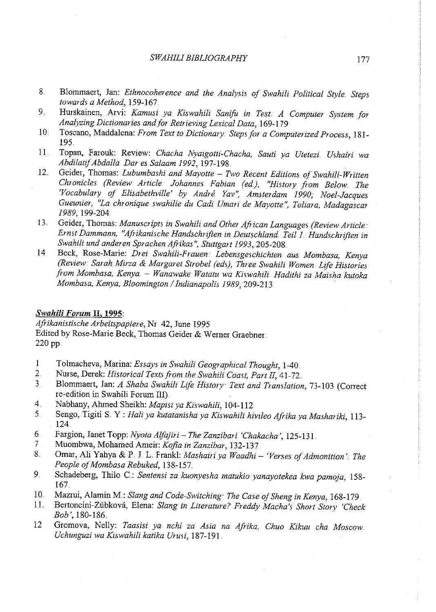- 8.. Blommaert, Jan: *Ethnocoherence and the Analysis of Swahili Political Style. Steps towards a Method,* 159-167.
- 9. Hurskainen, Arvi: *Kamusi ya Kiswahili Sanifo in Test A Computer System for Analyzing Dictionaries andfor Retrieving Lexical Data,* 169-1 <sup>79</sup>
- 10.. Toscano, Maddalena: *From Text to Dictionary. Steps for a Computerized Process,* 181- 195
- 11. Topan, Farouk: Review: *Chacha Nyaigotti-Chacha, Sauti ya Utetezi.. Ushairi wa AbdilatifAbdalla Dar es Salaam 199 2,* 197-198.
- 12. Geider, Thomas: Lubumbashi and Mayotte Two Recent Editions of Swahili-Written *Chronicles (Review Article Johannes Fabian (ed), "History from Below. The 'Vocabulary of Elisabethville' by Andre Yav", Amsterdam 1990, Noel-Jacques Gueunier, "La chronique swahilie du Cadi Umari de Mayotte", Toliara, Madagascar 1989,* 199-204
- 13. Geider, Thomas: *Manuscripts in Swahili and Other African Languages (Review Article Ernst Dammann, "Afrikanische Handschriften in Deutschland. Teil 1.. Handschriften in*  Swahili und anderen Sprachen Afrikas", Stuttgart 1993, 205-208.
- <sup>14</sup>Beck, Rose-Marie: *Drei Swahili-Frauen. Lebensgeschichten aus Mombasa, Kenya (Review Sarah Mirza* & *Margaret Strobe! (eds), Three Swahili Women. Life Histories from Mombasa, Kenya.* - *Wanawake Watatu wa Kiswahili .. Hadithi za Maisha kutoka Mombasa, Kenya, Bloomington I Indianapolis 1989,209-213* ·

# *Swahili Forum* **II, 1995:**

*Afrikanistische Arbeitspapiere,* Nr 42, June !995 Edited by Rose-Marie Beck, Thomas Geider & Werner Graebner. 220 pp.

- 1 Tolmacheva, Marina: *Essays in Swahili Geographical Thought*, 1-40<br>2 Nurse, Derek: *Historical Texts from the Swahili Coast, Part II*, 41-72
- 2 Nurse, Derek: *Historical Texts from the Swahili Coast, Part* If, 41-72.
- 3 Blommaert, Jan: *A Shaba Swahili Life History Text and Translation,* 73-103 (Correct re-edition in Swahili Forum III)
- 4 Nabhany, Ahmed Sheikh: *Mapisi ya Kiswahili,* 104-112
- 5.. Sengo, Tigiti S. Y: *Hali ya kutatanisha ya Ki:Swahili hivileo Afrika ya Mashariki,* 113- 124.
- 6 Fargion, Janet Topp: *Nyota Alfajiri- The Zanzibari 'Chakacha',* 125-131.
- 7 Muombwa, Mohamed Ameir: *Kofia in Zanzibar,* 132-137
- 8. Omar, Ali Yahya & P. J. L. Frankl: *Mashairi ya Waadhi* 'Verses of Admonition' The People of Mombasa Rebuked, 138-157
- 9. Schadeberg, Thilo C.: *Sentensi za kuonyesha matukio yanayotekea kwa pamoja,* 158- 167
- 10. Mazrui, Alamin M.: *Slang and Code-Switching· The Case ojSheng in Kenya,* 168-179
- I!. Bertoncini-Zubkova, Elena: *Slang in Literature? Freddy Macha's Short Story 'Check Bob',* 180-186.
- <sup>12</sup>Gromova, Nelly: *Taasisi ya nchi za Asia na Afrika, Chuo Kikuu cha Moscow Uchunguzi wa Kiswahili katika Urus i,* 187-191 .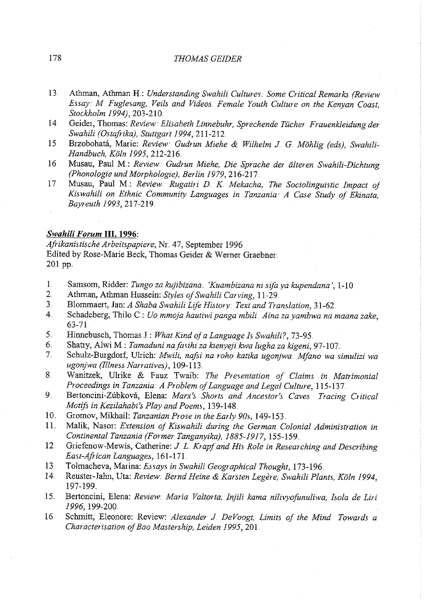# 178 *THOMAS GElD ER*

- 13 Athman, Athman H.: Understanding *Swahili Cultures Some Critical Remarks (Review Essay M Fuglesang, Veils and Videos. Female Youth Culture on the Kenyan Coast, Stockholm 1994),* 203-210 ..
- 14 Geider, Thomas: Review: Elisabeth Linnebuhr, Sprechende Tücher Frauenkleidung der *Swahili (O.stafrika), Stuttgart 1994,211-212.*
- <sup>15</sup>Brzobohata, Marie: *Review Gudrun Miehe* & *Wilhelm* J. *G. Mohlig (eds), SwahiH-Handbuch, Koln 1995,* 212-216..
- <sup>16</sup>Musau, Paul M.: *Review. Gudrun Miehe, Die Sprache der iilteren Swahili-Dichtung (Phonologie und Morphologie), Berlin 1979,216-217..*
- 17 Musau, Paul M.: *Review. Rugatiri D. K Mekacha, The Sociolinguistic Impact of Kiswahili on Ethnic Community Languages in Tanzania A Case Study of Ekinata, Bayreuth 1993,217-219 ..*

#### *Swahili Forum* **Ill, 1996:**

*Afrikanistische Arbeitspapiere,* Nr.. 47, September 1996 Edited by Rose-Marie Beck, Thomas Geider & Werner Graebner. 201 pp.

- 1. Samsom, Ridder: *Tungo za kujibizana. 'Kuambizana ni sifa ya kupendana'*, 1-10.<br>2. Athman, Athman Hussein: *Styles of Swahili Carving* 11-29.
- 2. Athman, Athman Hussein: *Styles of Swahili Carving,* 11-29.
- 3. Blommaert, Jan: *A Shaba Swahili Life History. Text and Translation,* 31-62
- 4.. Schadeberg, Thilo C: *Uo mmoja hautiwipanga mbili Aina za yambwa na maana zake,*  63-71
- 5. Hinnebusch, Thomas l.: *What Kind of a Language Is Swahili?,* 73-95
- 6. Shatry, Alwi M.: *Tamaduni nafasihi za kienyeji kwa lugha za kigeni,* 97-107..
- 7. Schulz-Burgdorf, Ulrich: *Mwili, nafii na roho katika ugonjwa .. Mfano wa simulizi wa ugonjwa (Illness Narratives),* 109-113.
- 8.. Wanitzek, Ulrike & Fauz Twaib: *The Presentation of Claims in Matrimonial Proceedings in Tanzania. A Problem ofLanguage and Legal Culture,* 115-137 ..
- 9. Bertoncini-Zubkova, Elena: *Marx's Shorts and Ancestor's Caves Tracing Critical Motifi in Kezilahabi's Play and Poems,* 139-148..
- 10. Gromov, Mikhail: *Tanzanian Prose* in *the Early 90s,* 149-153.
- 1 L Malik, Nasor: *Extension of Kiswahili during the German Colonial Administration in Continental Tanzania (Former Tanganyika), 1885-1917,* 155-159 ..
- 12. Griefenow-Mewis, Catherine: *J. L. Krapf and His Role in Researching and Describing East-African Languages,* 161-171
- 13 Tolmacheva, Marina: *Essays in Swahili Geographical Thought*, 173-196.
- 14 Reuster-Jahn, Uta: Review: Bernd Heine & Karsten Legère, Swahili Plants, Köln 1994, 197-199.
- 15. Bertoncini, Elena: *Review Maria Valtorta, Injili kama nilivyofunuliwa, !sola de Liri 1996,* 199-200 ..
- 16. Schmitt, Eleonore: Review: *Alexander* J *DeVoogt, Limits of the Mind Towards a Characterisation ofBao Mastenhip, Leiden 1995,201*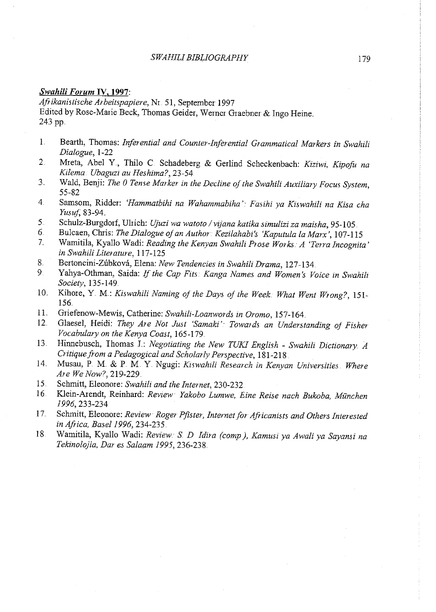#### *Swahili Forum* **IV, 1997:**

*Afrikanistische Arbeitspapiere,* Nr. 51, September 1997 Edited by Rose-Marie Beck, Thomas Geider, Wemer Graebner & Ingo Heine .. 243 pp.

- I. Bearth, Thomas: *Inferential and Counter-Inferential Grammatical Markers in Swahili Dialogue,* 1-22
- 2. Mreta, A bel Y , Thilo C Schadeberg & Gedind Scheckenbach: Kiziwi, *Kipofu na Kilema. Ubaguzz au Heshima?,* 23-54
- 3.. Wald, Benji: *The 0 Tense Marker in the Decline ojthe Swahili Auxiliary Focus System,*  55-82
- <sup>4</sup>Samsom, Ridder: *'Hammatbihi na Wahammabiha' Fasihi ya Kiswahili na Ki:Sa cha Yusuf,* 83-94
- 5 Schulz-Burgdorf, Uhich: *Ujuzi wa watoto I vijana katika simulizi za maisha,* 95-105.
- 6. Bulcaen, Chris: *The Dialogue of an Author: Kezilahabi's 'Kaputula la Marx'*, 107-115<br>7. Wamitila, Kyallo Wadi: Reading the Kenyan Swahili Prose Works: A 'Terra Incognite
- 7. Wamitila, Kyallo Wadi: *Reading the Kenyan Swahili Prose Works .. A 'Terra Incognita'*   $in$  Swahili Literature, 117-125.
- 8. Bertoncini-Zúbková, Elena: *New Tendencies in Swahili Drama*, 127-134.<br>9. Yahva-Othman, Saida: *If the Can Fits, Kanga Names and Women's Voltaire*
- 9 Yahya-Othman, Saida: *If the Cap Fits. Kanga Names and Women's Voice* in *Swahili Society,* 135-149
- 10. Kihore, Y M.: *Kiswahili Naming of the Days of the Week What Went Wrong?,* 151- 156.
- 11. Griefenow-Mewis, Catherine: *Swahili-Loanwords* in *Oromo,* 157-164
- Glaesel, Heidi: They Are Not Just 'Samaki': Towards an Understanding of Fisher *Vocabulary on the Kenya Coast,* 165-179
- 13. Hinnebusch, Thomas J.: *Negotiating the New TUKI English Swahili Dictionary A Critique Fom a Pedagogical and Scholarly Perspective,* 181-218
- 14. Musau, P M. & P M Y Ngugi: *Kiswahili Research* in *Kenyan Universities. Where Are We Now?,* 219c229.
- 15. Schmitt, Eleonore: *Swahili and the Internet,* 230-232
- 16. Klein-Arendt, Reinhard: *Review Yakobo Lumwe, Eine Reise nach Bukoba, Munchen 1996,* 233-234
- 17. Schmitt, Eleonore: *Review Roger Pfister; Internetfor Africanists and Others Interested*  in *Africa, Basel1996,* 234-235.
- 18 Wamitila, Kyallo Wadi: *Review. S. D Idira (comp), Kamusi ya Awali ya Sayansi na Tekinolojia, Dares Salaam 1995,* 236-238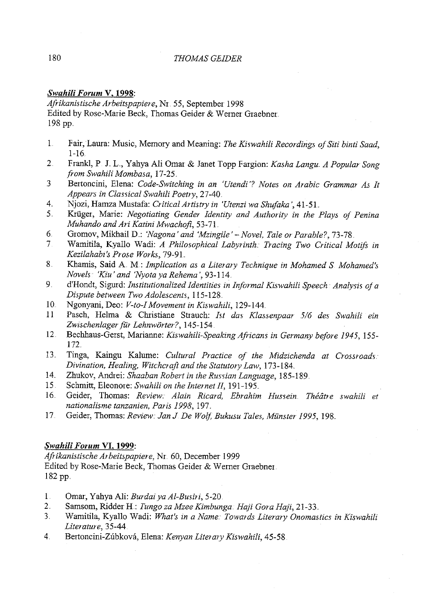## 180 *THOMAS GEIDER*

# *Swahili Forum* **V, 1998:**

*Afrikanistische Arbeitspapiere,* Nr. 55, September 1998 Edited by Rose-Marie Beck, Thomas Geider & Werner Graebner 198 pp ..

- 1. Fair, Laura: Music, Memory and Meaning: *The Kiswahili Recordings of Siti binti Saad*, 1-16.
- 2 Frankl, P **J.** L, Yahya Ali Omar & Janet Topp Fargion: *Kasha Langu. A Popular Song from Swahili Mombasa,* 17-25.
- 3 Bertoncini, E1ena: *Code-Switching in an 'Utendi'? Notes on Arabic Grammar As It Appears in Classical Swahili Poetry,* 27-40.
- 4.. Njozi, Hamza Mustafa: *Critical Artistry in 'Utenzi wa Shufaka* ', 41-51.
- 5. Kri.iger, Marie: *Negotiating Gender Identity and Authority in the Plays of Penina Muhando and Art Katini Mwachofi,* 53-71.
- 6 Gromov, Mikhai1 D..: *'Nagana' and 'Mzingile'- Novel, Tale or Parable?,* 73-78
- 7 Wamiti1a, Kyallo Wadi: *A Philosophical Labyrinth Tracing Two Critical Motifs in Kezilahabz's Prose Works,* 79-91
- 8.. Khamis, Said A M.: *Implication as a Literary Technique in Mohamed S Mohamed's Novels·· 'Kiu' and 'Nyotaya Rehema* ', 93-114.
- 9. d'Hondt, Sigurd: *Institutionalized Identities in Informal Kiswahili Speech Analysis of <sup>a</sup> Dispute between Two Adolescents,* 115-128 ..
- 10 Ngonyani, Deo: *V-to-1 Movement in Kiswahili,* 129-144 ..
- <sup>11</sup>Pasch, Helma & Christiane Strauch: *Ist das Klassenpaar 516 des Swahili ein*  Zwischenlager für Lehnwörter?, 145-154.
- 12. Bechhaus-Gerst, Marianne: *Kiswahili-Speaking Africans in Germany before 1945,* 155- 172
- 13. Tinga, Kaingu Kalume: *Cultural Practice of the Midzichenda at Crossroads. Divination, Healing, Witchcraft and the Statutory Law,* 173-184.
- 14. Zhukov, Andrei: *Shaaban Robert in the Russian Language*, 185-189.
- 15 Schmitt, Eleonore: *Swahili on the Internet* If, 191-195 ..
- 16. Geider, Thomas: *Review Alain Ricard, Ebrahim Hussein.. Theatre swahili et nationalisme tanzanien, Paris 1998,* 197 ..
- 17 Geider, Thomas: *Review Jan* J *De Wolf, Bukusu Tales, Munster 1995,* 198

# *Swahili Forum* **VI, 1999:**

*Afrikanistische Arbeitspapiere,* Nr. 60, December 1999 Edited by Rose-Marie Beck, Thomas Geider & Wemer Graebner. 182 pp.

- 1 Omar, Yahya Ali: *Burdai ya Al-Busiri,* 5-20.
- 2. Samsom, Ridder **H:** *Tunga za Mzee Kimbunga. Haji Gora Haji,* 21-33..
- 3.. Wamitila, Kyallo Wadi: *What's in a Name Towards Literary Onomastics in Kiswahili Literature,* 35-44.
- 4.. Bertoncini-Zubkova, Elena: *Kenyan Literary Kiswahili,* 45-58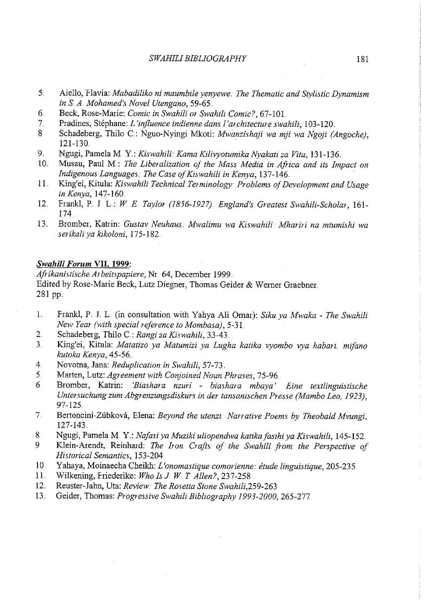- 5. Aiello, Flavia: *Mabadiliko ni maumbile yenyewe. The Thematic and Stylistic Dynamism in S A .. Mohamed's Novel Utengano,* 59-65 ..
- 6. Beck, Rose-Marie: *Comic in Swahili or Swahili Comic?,* 67-101 .
- 7. Pradines, Stephane: *L 'influence indienne dans /'architecture swahili,* 103-120 ..
- 8 Schadeberg, Thilo C.: Nguo-Nyingi Mkoti: *Mwanzishqji wa mji wa Ngoji (Angoche),*  121-130.
- 9. Ngugi, Pamela M. Y: *Kiswahili: Kama Kilivyotumika Nyakati za Vita*, 131-136.<br>10. Musau, Paul M.: *The Liberalization of the Mass Media in Africa and its Imi*
- 10.. Musau, Paul M.: *The Liberalization of the Mass Media in Africa and its Impact on Indigenous Languages: The Case of Kiswahili in Kenya, 137-146.*
- 11. King'ei, Kitula: *Kiswahili Technical Terminology Problems ojDevelopment and Usage in Kenya,* 147-160.
- 12. Frank!, P. J L: *WE. Taylor (1856-1927}. England's Greatest Swahili-Scholar,* 161- 174
- 13.. Bromber, Katrin: *Gustav Neuhaus. Mwalimu wa Kiswahili Mhariri na mtumishi wa serikaliya kikoloni,* 175-182

#### *Swahili Forum* **VII, 1999:**

*Afrikanistische Arbeitspapiere,* Nr. 64, December 1999 .. Edited by Rose-Marie Beck, Lutz Diegner, Thomas Geider & Wemer Graebner. 281 pp.

- 1.. Frank!, P. J. L (in consultation with Yahya Ali Omar): *Siku ya Mwaka The Swahili New Year (with special reference to Mombasa),* 5-31
- 2.. Schadeberg, Thilo C.: *Rangi za Kiswahili,* 33-43.
- 3. King'ei, Kitula: *Matatizo ya Matumizi ya Lugha katika vyombo vya habari. mifano kutoka Kenya,* 45-56 ..
- 4. Novotna, Jana: *Reduplication in Swahili,* 57-73.
- 5 Marten, Lutz: *Agreement with Conjoined Noun Phrases,* 75-96
- 6 Bromber, Katrin: *'Biashara nzuri biashara mbaya' Eine textlinguisti:Sche Untersuchung zum Abgrenzungsdiskur:s* in *der tansanischen Presse (Mambo Leo, 1923),*  97-125
- 7. Bertoncini-Zubkova, E1ena: *Beyond the utenzi ·Narrative Poems by Theobald Mvungi,*  127-143.
- 8 Ngugi, Pamela M. Y.: *Nafasi ya Muziki uliopendwa katika fasihi ya Kiswahili*, 145-152.
- 9 Klein-Arendt, Reinhard: *The Iron Crafts of the Swahili from the Perspective of Historical Semantics,* 153-204
- 10 Yahaya, Moinaecha Cheikh: *L'onomastique comorienne: étude linguistique*, 205-235
- 11. Wilkening, Friederike: *Who Is* J *W T Alien?,* 237-258
- 12.. Reuster-Jahn, Uta: *Review The Rosetta Stone Swahili,259-263*
- 13 Geider, Thomas: *Progressive Swahili Bibliography 1993-2000,265-277*